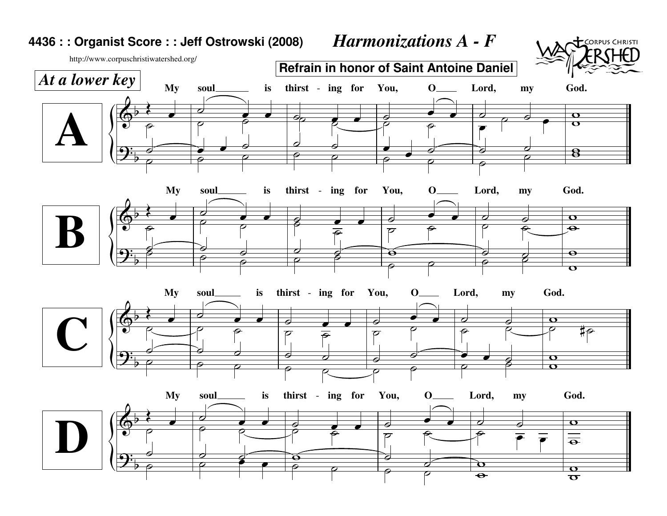## **4436 : : Organist Score : : Jeff Ostrowski (2008)***Harmonizations A - F*



http://www.corpuschristiwatershed.org/